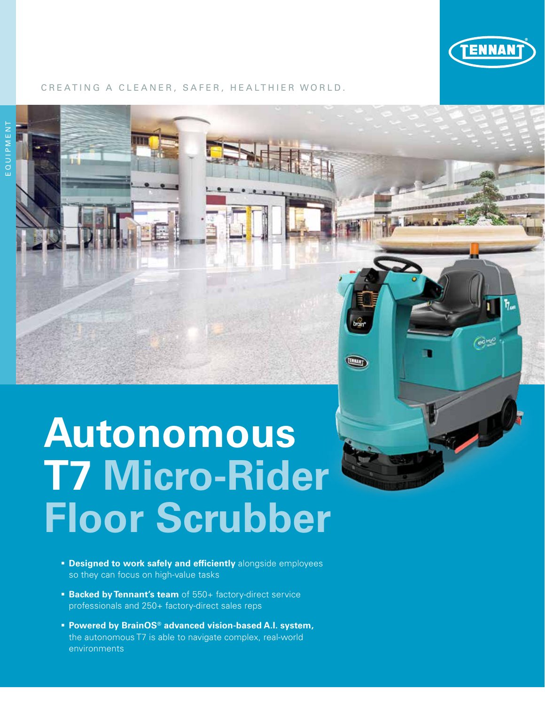

#### CREATING A CLEANER, SAFER, HEALTHIER WORLD.

# **Autonomous T7 Micro-Rider Floor Scrubber**

- **Designed to work safely and efficiently** alongside employees so they can focus on high-value tasks
- **Backed by Tennant's team** of 550+ factory-direct service professionals and 250+ factory-direct sales reps
- **Powered by BrainOS® advanced vision-based A.I. system,** the autonomous T7 is able to navigate complex, real-world environments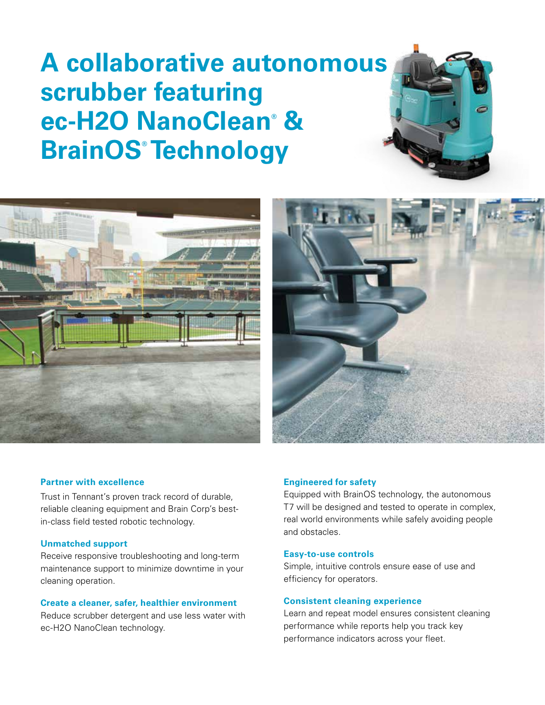## **A collaborative autonomous scrubber featuring ec-H2O NanoClean® & BrainOS® Technology**





#### **Partner with excellence**

Trust in Tennant's proven track record of durable, reliable cleaning equipment and Brain Corp's bestin-class field tested robotic technology.

#### **Unmatched support**

Receive responsive troubleshooting and long-term maintenance support to minimize downtime in your cleaning operation.

**Create a cleaner, safer, healthier environment** Reduce scrubber detergent and use less water with ec-H2O NanoClean technology.

#### **Engineered for safety**

Equipped with BrainOS technology, the autonomous T7 will be designed and tested to operate in complex, real world environments while safely avoiding people and obstacles.

#### **Easy-to-use controls**

Simple, intuitive controls ensure ease of use and efficiency for operators.

#### **Consistent cleaning experience**

Learn and repeat model ensures consistent cleaning performance while reports help you track key performance indicators across your fleet.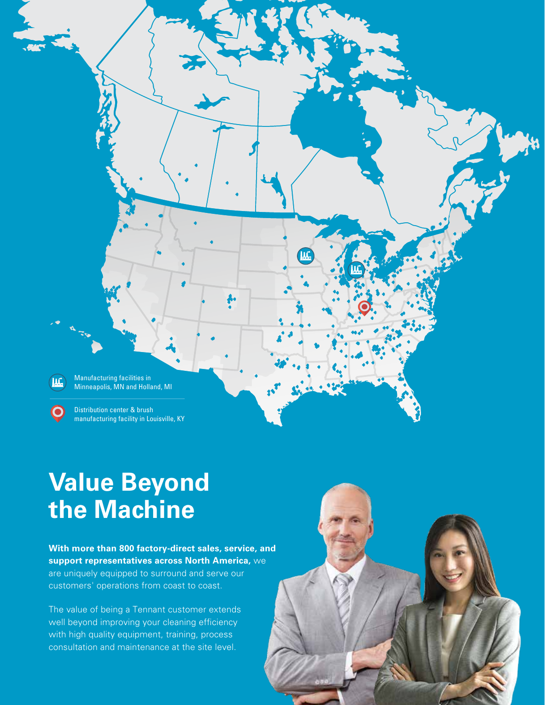Manufacturing facilities in ĨЩ Minneapolis, MN and Holland, MI ΊÆ

Distribution center & brush manufacturing facility in Louisville, KY

### **Value Beyond the Machine**

**With more than 800 factory-direct sales, service, and support representatives across North America,** we are uniquely equipped to surround and serve our customers' operations from coast to coast.

The value of being a Tennant customer extends well beyond improving your cleaning efficiency with high quality equipment, training, process consultation and maintenance at the site level.